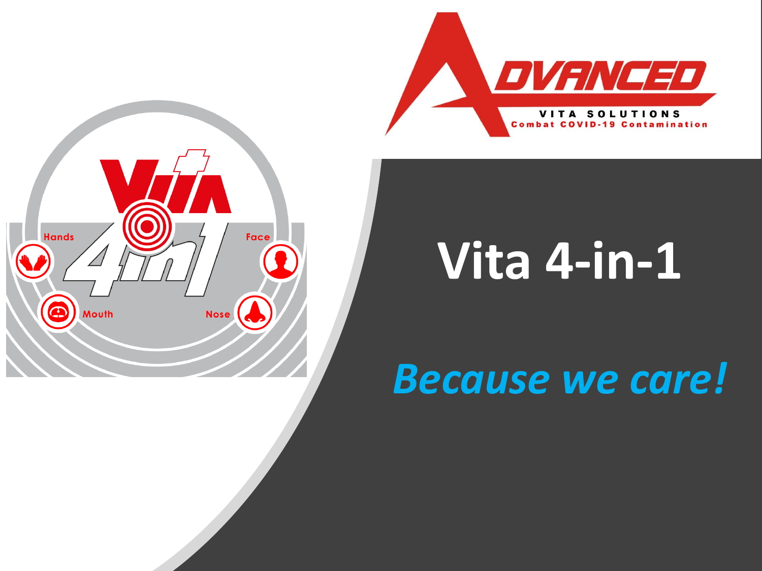



# **Vita 4-in-1**

## *Because we care!*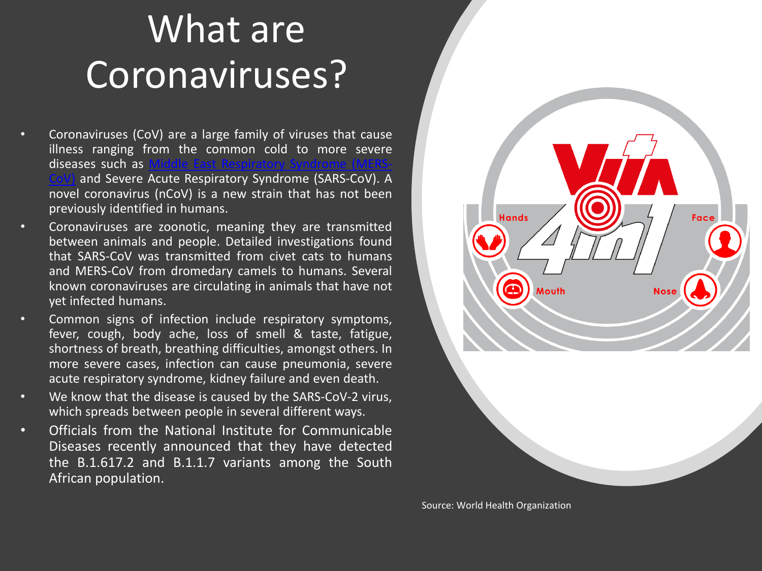#### What are Coronaviruses?

- Coronaviruses (CoV) are a large family of viruses that cause illness ranging from t[he](http://www.emro.who.int/health-topics/mers-cov/index.html) c[om](http://www.emro.who.int/health-topics/mers-cov/index.html)mon cold to more severe diseases such as and Severe Acute Respiratory Syndrome (SARS-[CoV\)](http://www.emro.who.int/health-topics/mers-cov/index.html). A novel coronavirus (nCoV) is a new strain that has not been previously identified in humans.
- Coronaviruses are zoonotic, meaning they are transmitted between animals and people. Detailed investigations found that SARS-CoV was transmitted from civet cats to humans and MERS-CoV from dromedary camels to humans. Several known coronaviruses are circulating in animals that have not yet infected humans.
- Common signs of infection include respiratory symptoms, fever, cough, body ache, loss of smell & taste, fatigue, shortness of breath, breathing difficulties, amongst others. In more severe cases, infection can cause pneumonia, severe acute respiratory syndrome, kidney failure and even death.
- We know that the disease is caused by the SARS-CoV-2 virus, which spreads between people in several different ways.
- Officials from the National Institute for Communicable Diseases recently announced that they have detected the B.1.617.2 and B.1.1.7 variants among the South African population.



Source: World Health Organization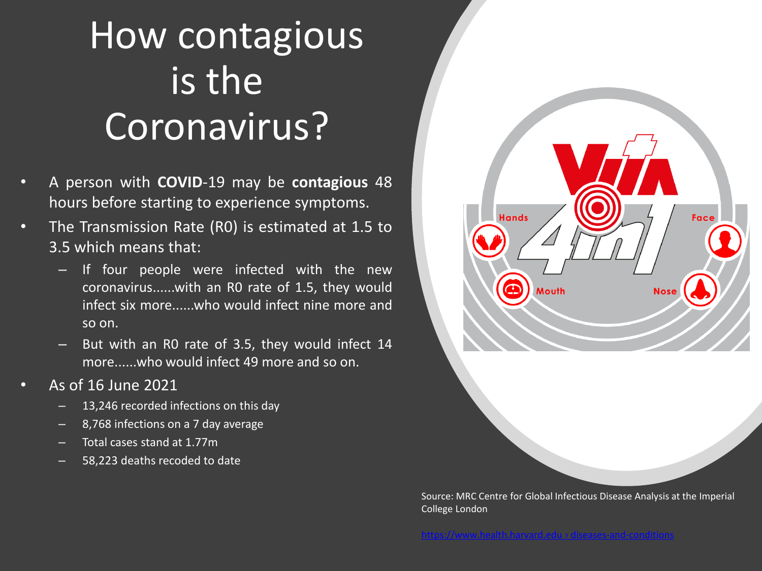## How contagious is the Coronavirus?

- A person with **COVID**-19 may be **contagious** 48 hours before starting to experience symptoms.
- The Transmission Rate (R0) is estimated at 1.5 to 3.5 which means that:
	- If four people were infected with the new coronavirus......with an R0 rate of 1.5, they would infect six more......who would infect nine more and so on.
	- But with an R0 rate of 3.5, they would infect 14 more......who would infect 49 more and so on.
- As of 16 June 2021
	- 13,246 recorded infections on this day
	- 8,768 infections on a 7 day average
	- Total cases stand at 1.77m
	- 58,223 deaths recoded to date



Source: MRC Centre for Global Infectious Disease Analysis at the Imperial [C](https://www.google.com/url?sa=t&rct=j&q=&esrc=s&source=web&cd=&cad=rja&uact=8&ved=2ahUKEwiZj57Y2Z7xAhVp_rsIHaOfD_cQFjABegQIAxAD&url=https://www.health.harvard.edu/diseases-and-conditions/if-youve-been-exposed-to-the-coronavirus&usg=AOvVaw0AvkGBnqObI8NN3FyEmdZt)ollege London

tps[://www.health.harvard.edu › diseases](https://www.google.com/url?sa=t&rct=j&q=&esrc=s&source=web&cd=&cad=rja&uact=8&ved=2ahUKEwiZj57Y2Z7xAhVp_rsIHaOfD_cQFjABegQIAxAD&url=https://www.health.harvard.edu/diseases-and-conditions/if-youve-been-exposed-to-the-coronavirus&usg=AOvVaw0AvkGBnqObI8NN3FyEmdZt)-and-cond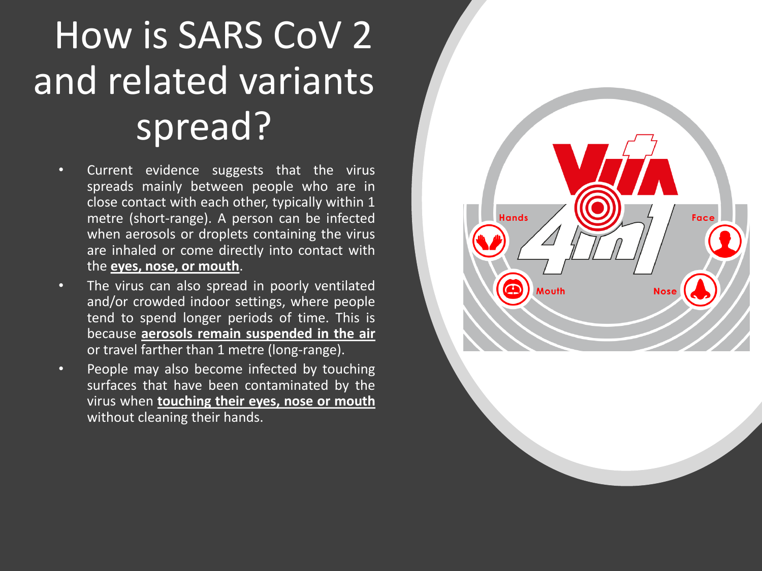## How is SARS CoV 2 and related variants spread?

- Current evidence suggests that the virus spreads mainly between people who are in close contact with each other, typically within 1 metre (short-range). A person can be infected when aerosols or droplets containing the virus are inhaled or come directly into contact with the **eyes, nose, or mouth**.
- The virus can also spread in poorly ventilated and/or crowded indoor settings, where people tend to spend longer periods of time. This is because **aerosols remain suspended in the air** or travel farther than 1 metre (long-range).
- People may also become infected by touching surfaces that have been contaminated by the virus when **touching their eyes, nose or mouth** without cleaning their hands.

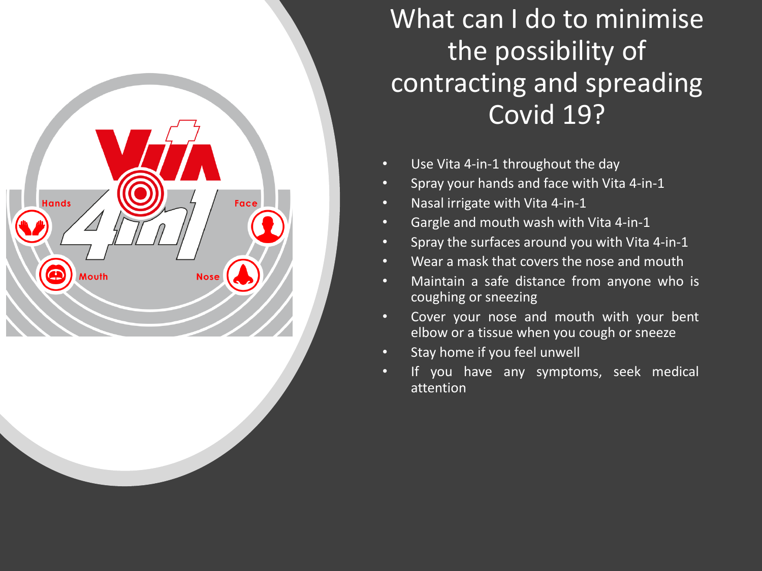

What can I do to minimise the possibility of contracting and spreading Covid 19?

- Use Vita 4-in-1 throughout the day
- Spray your hands and face with Vita 4-in-1
- Nasal irrigate with Vita 4-in-1
- Gargle and mouth wash with Vita 4-in-1
- Spray the surfaces around you with Vita 4-in-1
- Wear a mask that covers the nose and mouth
- Maintain a safe distance from anyone who is coughing or sneezing
- Cover your nose and mouth with your bent elbow or a tissue when you cough or sneeze
- Stay home if you feel unwell
- If you have any symptoms, seek medical attention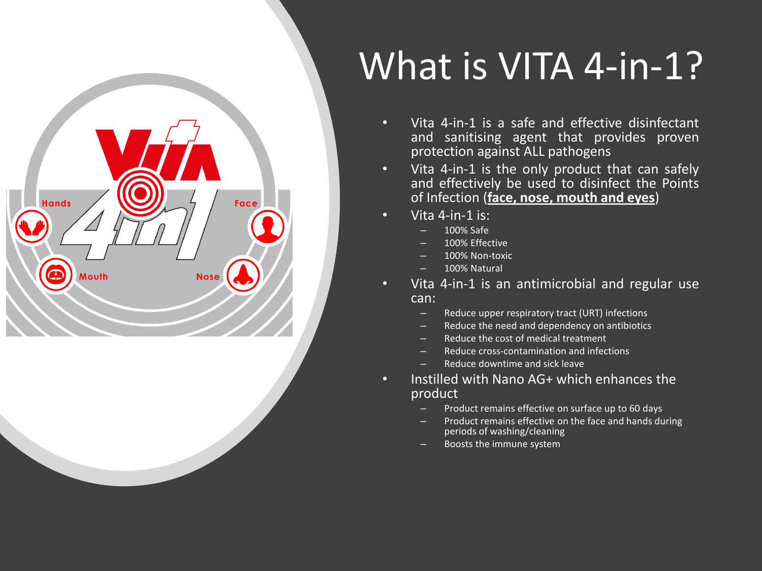

## What is VITA 4-in-1?

- Vita 4-in-1 is a safe and effective disinfectant and sanitising agent that provides proven protection against ALL pathogens
- Vita 4-in-1 is the only product that can safely and effectively be used to disinfect the Points of Infection (**face, nose, mouth and eyes**)
- Vita 4-in-1 is:
	- 100% Safe
	- 100% Effective
	- 100% Non-toxic
	- 100% Natural
- Vita 4-in-1 is an antimicrobial and regular use can:
	- Reduce upper respiratory tract (URT) infections
	- Reduce the need and dependency on antibiotics
	- Reduce the cost of medical treatment
	- Reduce cross-contamination and infections
	- Reduce downtime and sick leave
- Instilled with Nano AG+ which enhances the product
	- Product remains effective on surface up to 60 days
	- Product remains effective on the face and hands during periods of washing/cleaning
	- Boosts the immune system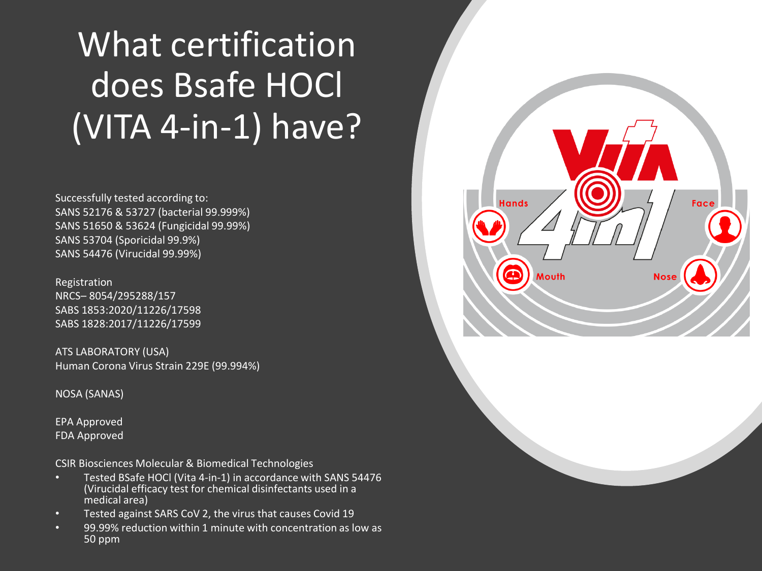#### What certification does Bsafe HOCl (VITA 4-in-1) have?

Successfully tested according to: SANS 52176 & 53727 (bacterial 99.999%) SANS 51650 & 53624 (Fungicidal 99.99%) SANS 53704 (Sporicidal 99.9%) SANS 54476 (Virucidal 99.99%)

Registration NRCS– 8054/295288/157 SABS 1853:2020/11226/17598 SABS 1828:2017/11226/17599

ATS LABORATORY (USA) Human Corona Virus Strain 229E (99.994%)

NOSA (SANAS)

EPA Approved FDA Approved

CSIR Biosciences Molecular & Biomedical Technologies

- Tested BSafe HOCl (Vita 4-in-1) in accordance with SANS 54476 (Virucidal efficacy test for chemical disinfectants used in a medical area)
- Tested against SARS CoV 2, the virus that causes Covid 19
- 99.99% reduction within 1 minute with concentration as low as 50 ppm

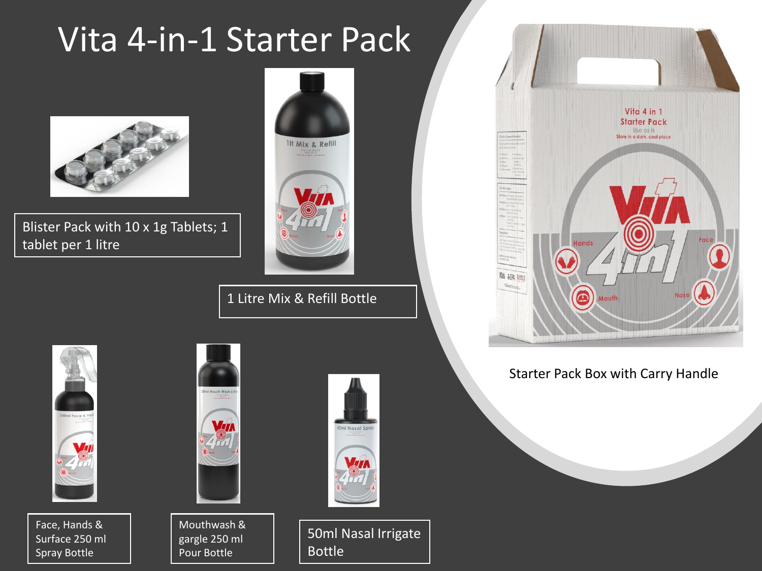#### Vita 4-in-1 Starter Pack



Blister Pack with 10 x 1g Tablets; 1 tablet per 1 litre



1 Litre Mix & Refill Bottle



Face, Hands & Surface 250 ml Spray Bottle



Mouthwash & gargle 250 ml Pour Bottle



50ml Nasal Irrigate Bottle



#### Starter Pack Box with Carry Handle